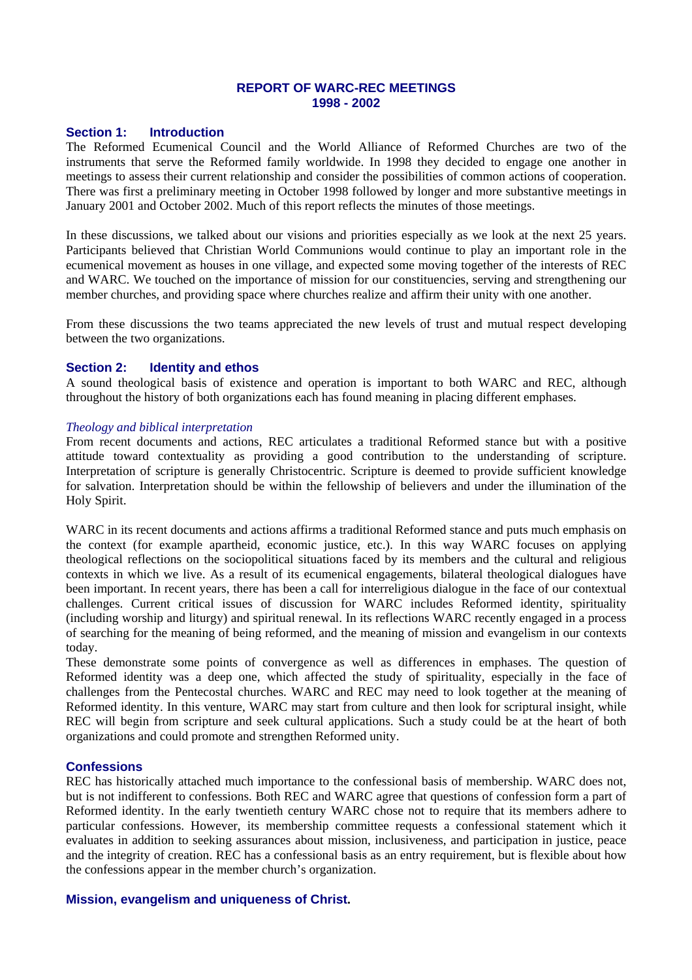## **REPORT OF WARC-REC MEETINGS 1998 - 2002**

### **Section 1: Introduction**

The Reformed Ecumenical Council and the World Alliance of Reformed Churches are two of the instruments that serve the Reformed family worldwide. In 1998 they decided to engage one another in meetings to assess their current relationship and consider the possibilities of common actions of cooperation. There was first a preliminary meeting in October 1998 followed by longer and more substantive meetings in January 2001 and October 2002. Much of this report reflects the minutes of those meetings.

In these discussions, we talked about our visions and priorities especially as we look at the next 25 years. Participants believed that Christian World Communions would continue to play an important role in the ecumenical movement as houses in one village, and expected some moving together of the interests of REC and WARC. We touched on the importance of mission for our constituencies, serving and strengthening our member churches, and providing space where churches realize and affirm their unity with one another.

From these discussions the two teams appreciated the new levels of trust and mutual respect developing between the two organizations.

### **Section 2: Identity and ethos**

A sound theological basis of existence and operation is important to both WARC and REC, although throughout the history of both organizations each has found meaning in placing different emphases.

#### *Theology and biblical interpretation*

From recent documents and actions, REC articulates a traditional Reformed stance but with a positive attitude toward contextuality as providing a good contribution to the understanding of scripture. Interpretation of scripture is generally Christocentric. Scripture is deemed to provide sufficient knowledge for salvation. Interpretation should be within the fellowship of believers and under the illumination of the Holy Spirit.

WARC in its recent documents and actions affirms a traditional Reformed stance and puts much emphasis on the context (for example apartheid, economic justice, etc.). In this way WARC focuses on applying theological reflections on the sociopolitical situations faced by its members and the cultural and religious contexts in which we live. As a result of its ecumenical engagements, bilateral theological dialogues have been important. In recent years, there has been a call for interreligious dialogue in the face of our contextual challenges. Current critical issues of discussion for WARC includes Reformed identity, spirituality (including worship and liturgy) and spiritual renewal. In its reflections WARC recently engaged in a process of searching for the meaning of being reformed, and the meaning of mission and evangelism in our contexts today.

These demonstrate some points of convergence as well as differences in emphases. The question of Reformed identity was a deep one, which affected the study of spirituality, especially in the face of challenges from the Pentecostal churches. WARC and REC may need to look together at the meaning of Reformed identity. In this venture, WARC may start from culture and then look for scriptural insight, while REC will begin from scripture and seek cultural applications. Such a study could be at the heart of both organizations and could promote and strengthen Reformed unity.

## **Confessions**

REC has historically attached much importance to the confessional basis of membership. WARC does not, but is not indifferent to confessions. Both REC and WARC agree that questions of confession form a part of Reformed identity. In the early twentieth century WARC chose not to require that its members adhere to particular confessions. However, its membership committee requests a confessional statement which it evaluates in addition to seeking assurances about mission, inclusiveness, and participation in justice, peace and the integrity of creation. REC has a confessional basis as an entry requirement, but is flexible about how the confessions appear in the member church's organization.

### **Mission, evangelism and uniqueness of Christ.**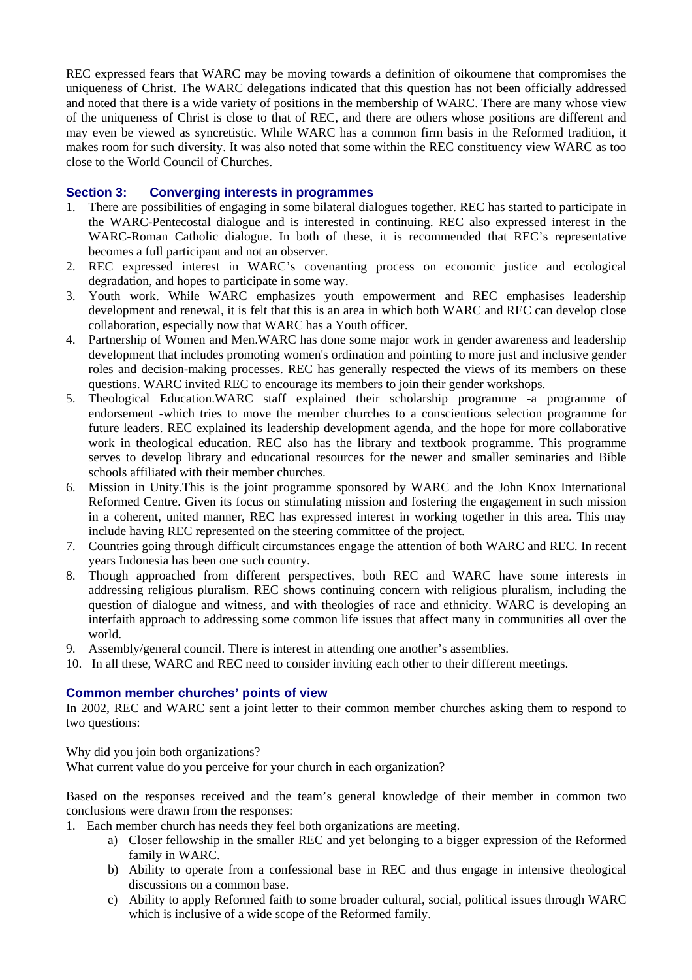REC expressed fears that WARC may be moving towards a definition of oikoumene that compromises the uniqueness of Christ. The WARC delegations indicated that this question has not been officially addressed and noted that there is a wide variety of positions in the membership of WARC. There are many whose view of the uniqueness of Christ is close to that of REC, and there are others whose positions are different and may even be viewed as syncretistic. While WARC has a common firm basis in the Reformed tradition, it makes room for such diversity. It was also noted that some within the REC constituency view WARC as too close to the World Council of Churches.

# **Section 3: Converging interests in programmes**

- 1. There are possibilities of engaging in some bilateral dialogues together. REC has started to participate in the WARC-Pentecostal dialogue and is interested in continuing. REC also expressed interest in the WARC-Roman Catholic dialogue. In both of these, it is recommended that REC's representative becomes a full participant and not an observer.
- 2. REC expressed interest in WARC's covenanting process on economic justice and ecological degradation, and hopes to participate in some way.
- 3. Youth work. While WARC emphasizes youth empowerment and REC emphasises leadership development and renewal, it is felt that this is an area in which both WARC and REC can develop close collaboration, especially now that WARC has a Youth officer.
- 4. Partnership of Women and Men.WARC has done some major work in gender awareness and leadership development that includes promoting women's ordination and pointing to more just and inclusive gender roles and decision-making processes. REC has generally respected the views of its members on these questions. WARC invited REC to encourage its members to join their gender workshops.
- 5. Theological Education.WARC staff explained their scholarship programme -a programme of endorsement -which tries to move the member churches to a conscientious selection programme for future leaders. REC explained its leadership development agenda, and the hope for more collaborative work in theological education. REC also has the library and textbook programme. This programme serves to develop library and educational resources for the newer and smaller seminaries and Bible schools affiliated with their member churches.
- 6. Mission in Unity.This is the joint programme sponsored by WARC and the John Knox International Reformed Centre. Given its focus on stimulating mission and fostering the engagement in such mission in a coherent, united manner, REC has expressed interest in working together in this area. This may include having REC represented on the steering committee of the project.
- 7. Countries going through difficult circumstances engage the attention of both WARC and REC. In recent years Indonesia has been one such country.
- 8. Though approached from different perspectives, both REC and WARC have some interests in addressing religious pluralism. REC shows continuing concern with religious pluralism, including the question of dialogue and witness, and with theologies of race and ethnicity. WARC is developing an interfaith approach to addressing some common life issues that affect many in communities all over the world.
- 9. Assembly/general council. There is interest in attending one another's assemblies.
- 10. In all these, WARC and REC need to consider inviting each other to their different meetings.

# **Common member churches' points of view**

In 2002, REC and WARC sent a joint letter to their common member churches asking them to respond to two questions:

Why did you join both organizations?

What current value do you perceive for your church in each organization?

Based on the responses received and the team's general knowledge of their member in common two conclusions were drawn from the responses:

- 1. Each member church has needs they feel both organizations are meeting.
	- a) Closer fellowship in the smaller REC and yet belonging to a bigger expression of the Reformed family in WARC.
	- b) Ability to operate from a confessional base in REC and thus engage in intensive theological discussions on a common base.
	- c) Ability to apply Reformed faith to some broader cultural, social, political issues through WARC which is inclusive of a wide scope of the Reformed family.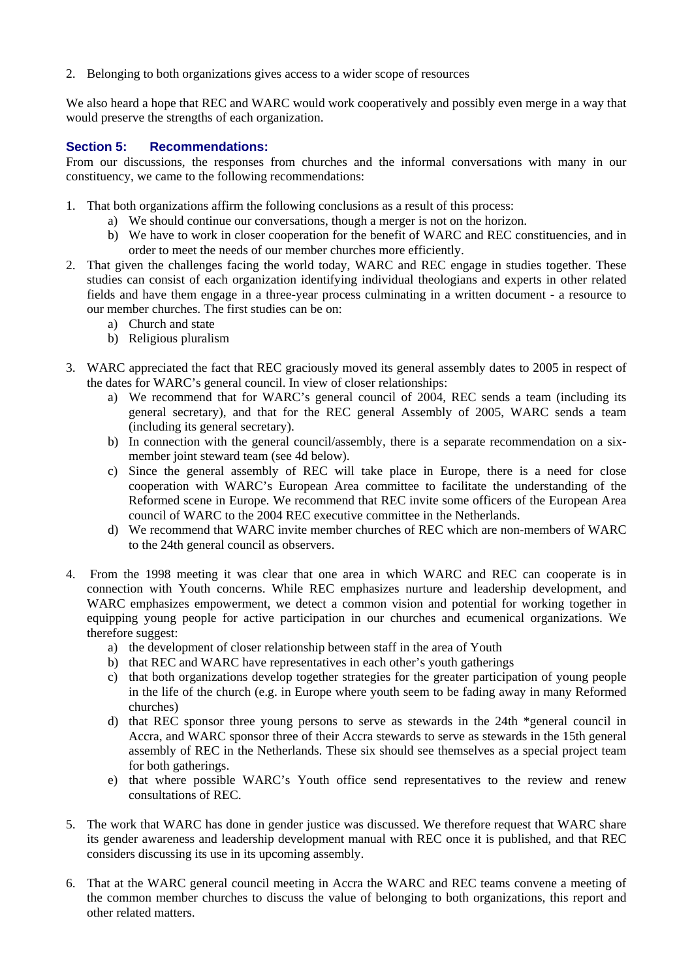2. Belonging to both organizations gives access to a wider scope of resources

We also heard a hope that REC and WARC would work cooperatively and possibly even merge in a way that would preserve the strengths of each organization.

# **Section 5: Recommendations:**

From our discussions, the responses from churches and the informal conversations with many in our constituency, we came to the following recommendations:

- 1. That both organizations affirm the following conclusions as a result of this process:
	- a) We should continue our conversations, though a merger is not on the horizon.
	- b) We have to work in closer cooperation for the benefit of WARC and REC constituencies, and in order to meet the needs of our member churches more efficiently.
- 2. That given the challenges facing the world today, WARC and REC engage in studies together. These studies can consist of each organization identifying individual theologians and experts in other related fields and have them engage in a three-year process culminating in a written document - a resource to our member churches. The first studies can be on:
	- a) Church and state
	- b) Religious pluralism
- 3. WARC appreciated the fact that REC graciously moved its general assembly dates to 2005 in respect of the dates for WARC's general council. In view of closer relationships:
	- a) We recommend that for WARC's general council of 2004, REC sends a team (including its general secretary), and that for the REC general Assembly of 2005, WARC sends a team (including its general secretary).
	- b) In connection with the general council/assembly, there is a separate recommendation on a sixmember joint steward team (see 4d below).
	- c) Since the general assembly of REC will take place in Europe, there is a need for close cooperation with WARC's European Area committee to facilitate the understanding of the Reformed scene in Europe. We recommend that REC invite some officers of the European Area council of WARC to the 2004 REC executive committee in the Netherlands.
	- d) We recommend that WARC invite member churches of REC which are non-members of WARC to the 24th general council as observers.
- 4. From the 1998 meeting it was clear that one area in which WARC and REC can cooperate is in connection with Youth concerns. While REC emphasizes nurture and leadership development, and WARC emphasizes empowerment, we detect a common vision and potential for working together in equipping young people for active participation in our churches and ecumenical organizations. We therefore suggest:
	- a) the development of closer relationship between staff in the area of Youth
	- b) that REC and WARC have representatives in each other's youth gatherings
	- c) that both organizations develop together strategies for the greater participation of young people in the life of the church (e.g. in Europe where youth seem to be fading away in many Reformed churches)
	- d) that REC sponsor three young persons to serve as stewards in the 24th \*general council in Accra, and WARC sponsor three of their Accra stewards to serve as stewards in the 15th general assembly of REC in the Netherlands. These six should see themselves as a special project team for both gatherings.
	- e) that where possible WARC's Youth office send representatives to the review and renew consultations of REC.
- 5. The work that WARC has done in gender justice was discussed. We therefore request that WARC share its gender awareness and leadership development manual with REC once it is published, and that REC considers discussing its use in its upcoming assembly.
- 6. That at the WARC general council meeting in Accra the WARC and REC teams convene a meeting of the common member churches to discuss the value of belonging to both organizations, this report and other related matters.